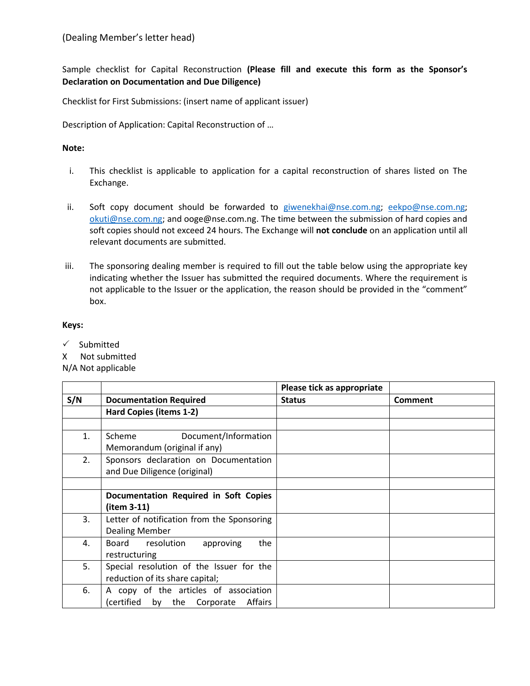Sample checklist for Capital Reconstruction **(Please fill and execute this form as the Sponsor's Declaration on Documentation and Due Diligence)**

Checklist for First Submissions: (insert name of applicant issuer)

Description of Application: Capital Reconstruction of …

## **Note:**

- i. This checklist is applicable to application for a capital reconstruction of shares listed on The Exchange.
- ii. Soft copy document should be forwarded to [giwenekhai@nse.com.ng;](mailto:giwenekhai@nse.com.ng) [eekpo@nse.com.ng;](mailto:eekpo@nse.com.ng) [okuti@nse.com.ng;](mailto:okuti@nse.com.ng) and ooge@nse.com.ng. The time between the submission of hard copies and soft copies should not exceed 24 hours. The Exchange will **not conclude** on an application until all relevant documents are submitted.
- iii. The sponsoring dealing member is required to fill out the table below using the appropriate key indicating whether the Issuer has submitted the required documents. Where the requirement is not applicable to the Issuer or the application, the reason should be provided in the "comment" box.

## **Keys:**

 $\checkmark$  Submitted

X Not submitted

N/A Not applicable

|     |                                            | Please tick as appropriate |                |
|-----|--------------------------------------------|----------------------------|----------------|
| S/N | <b>Documentation Required</b>              | <b>Status</b>              | <b>Comment</b> |
|     | Hard Copies (items 1-2)                    |                            |                |
|     |                                            |                            |                |
| 1.  | Scheme<br>Document/Information             |                            |                |
|     | Memorandum (original if any)               |                            |                |
| 2.  | Sponsors declaration on Documentation      |                            |                |
|     | and Due Diligence (original)               |                            |                |
|     |                                            |                            |                |
|     | Documentation Required in Soft Copies      |                            |                |
|     | (item 3-11)                                |                            |                |
| 3.  | Letter of notification from the Sponsoring |                            |                |
|     | <b>Dealing Member</b>                      |                            |                |
| 4.  | Board resolution<br>the<br>approving       |                            |                |
|     | restructuring                              |                            |                |
| 5.  | Special resolution of the Issuer for the   |                            |                |
|     | reduction of its share capital;            |                            |                |
| 6.  | A copy of the articles of association      |                            |                |
|     | (certified<br>Affairs<br>by the Corporate  |                            |                |